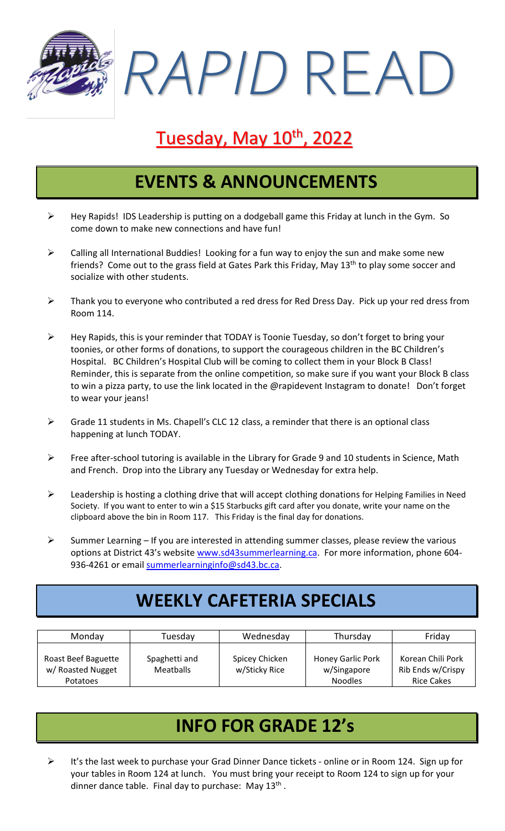*RAPID* READ

# Tuesday, May 10<sup>th</sup>, 2022

### **EVENTS & ANNOUNCEMENTS**

- ➢ Hey Rapids! IDS Leadership is putting on a dodgeball game this Friday at lunch in the Gym. So come down to make new connections and have fun!
- $\triangleright$  Calling all International Buddies! Looking for a fun way to enjoy the sun and make some new friends? Come out to the grass field at Gates Park this Friday, May 13<sup>th</sup> to play some soccer and socialize with other students.
- ➢ Thank you to everyone who contributed a red dress for Red Dress Day. Pick up your red dress from Room 114.
- ➢ Hey Rapids, this is your reminder that TODAY is Toonie Tuesday, so don't forget to bring your toonies, or other forms of donations, to support the courageous children in the BC Children's Hospital. BC Children's Hospital Club will be coming to collect them in your Block B Class! Reminder, this is separate from the online competition, so make sure if you want your Block B class to win a pizza party, to use the link located in the @rapidevent Instagram to donate! Don't forget to wear your jeans!
- ➢ Grade 11 students in Ms. Chapell's CLC 12 class, a reminder that there is an optional class happening at lunch TODAY.
- ➢ Free after-school tutoring is available in the Library for Grade 9 and 10 students in Science, Math and French. Drop into the Library any Tuesday or Wednesday for extra help.
- ➢ Leadership is hosting a clothing drive that will accept clothing donations for Helping Families in Need Society. If you want to enter to win a \$15 Starbucks gift card after you donate, write your name on the clipboard above the bin in Room 117. This Friday is the final day for donations.
- $\triangleright$  Summer Learning If you are interested in attending summer classes, please review the various options at District 43's website [www.sd43summerlearning.ca.](http://www.sd43summerlearning.ca/) For more information, phone 604 936-4261 or email [summerlearninginfo@sd43.bc.ca.](mailto:summerlearninginfo@sd43.bc.ca)

### **WEEKLY CAFETERIA SPECIALS**

| Monday                                                      | Tuesday                    | Wednesday                       | Thursday                                                  | Friday                                                      |
|-------------------------------------------------------------|----------------------------|---------------------------------|-----------------------------------------------------------|-------------------------------------------------------------|
| Roast Beef Baguette<br>w/ Roasted Nugget<br><b>Potatoes</b> | Spaghetti and<br>Meatballs | Spicey Chicken<br>w/Sticky Rice | <b>Honey Garlic Pork</b><br>w/Singapore<br><b>Noodles</b> | Korean Chili Pork<br>Rib Ends w/Crispy<br><b>Rice Cakes</b> |

## **INFO FOR GRADE 12's**

➢ It's the last week to purchase your Grad Dinner Dance tickets - online or in Room 124. Sign up for your tables in Room 124 at lunch. You must bring your receipt to Room 124 to sign up for your dinner dance table. Final day to purchase: May  $13<sup>th</sup>$ .